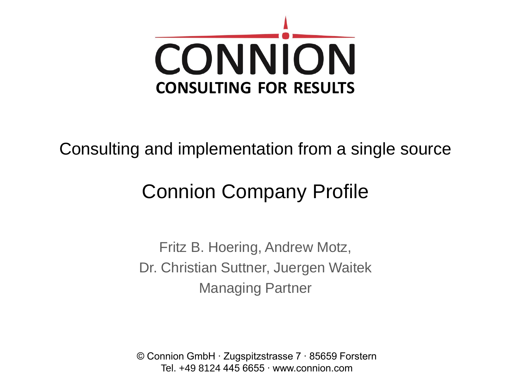

#### Consulting and implementation from a single source

# Connion Company Profile

Fritz B. Hoering, Andrew Motz, Dr. Christian Suttner, Juergen Waitek Managing Partner

© Connion GmbH ∙ Zugspitzstrasse 7 ∙ 85659 Forstern Tel. +49 8124 445 6655 ∙ www.connion.com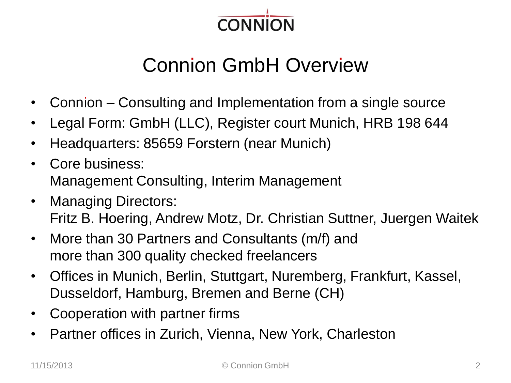

# **Connion GmbH Overview**

- Connion  $-$  Consulting and Implementation from a single source
- Legal Form: GmbH (LLC), Register court Munich, HRB 198 644
- Headquarters: 85659 Forstern (near Munich)
- Core business: Management Consulting, Interim Management
- Managing Directors: Fritz B. Hoering, Andrew Motz, Dr. Christian Suttner, Juergen Waitek
- More than 30 Partners and Consultants (m/f) and more than 300 quality checked freelancers
- Offices in Munich, Berlin, Stuttgart, Nuremberg, Frankfurt, Kassel, Dusseldorf, Hamburg, Bremen and Berne (CH)
- Cooperation with partner firms
- Partner offices in Zurich, Vienna, New York, Charleston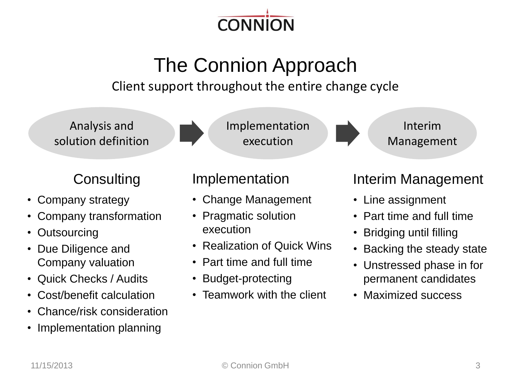

# The Connion Approach

Client support throughout the entire change cycle

Analysis and solution definition

#### **Consulting**

- Company strategy
- Company transformation
- Outsourcing
- Due Diligence and Company valuation
- Quick Checks / Audits
- Cost/benefit calculation
- Chance/risk consideration
- Implementation planning



#### Implementation

- Change Management
- Pragmatic solution execution
- Realization of Quick Wins
- Part time and full time
- Budget-protecting
- Teamwork with the client

#### Interim Management

Interim

Management

- Line assignment
- Part time and full time
- Bridging until filling
- Backing the steady state
- Unstressed phase in for permanent candidates
- Maximized success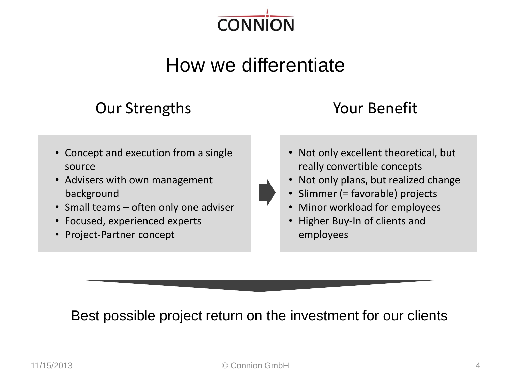

# How we differentiate

#### Our Strengths Your Benefit

#### • Concept and execution from a single source

- Advisers with own management background
- Small teams often only one adviser
- Focused, experienced experts
- Project-Partner concept

- Not only excellent theoretical, but really convertible concepts
- Not only plans, but realized change
- Slimmer (= favorable) projects
- Minor workload for employees
- Higher Buy-In of clients and employees

#### Best possible project return on the investment for our clients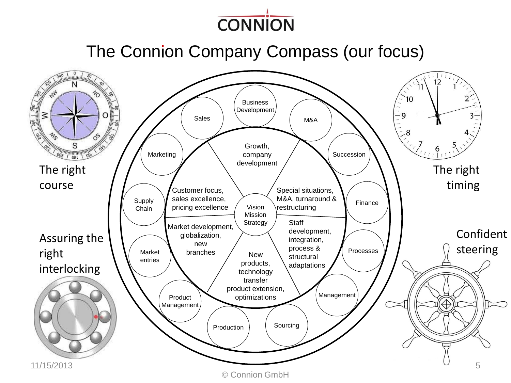

The Connion Company Compass (our focus)

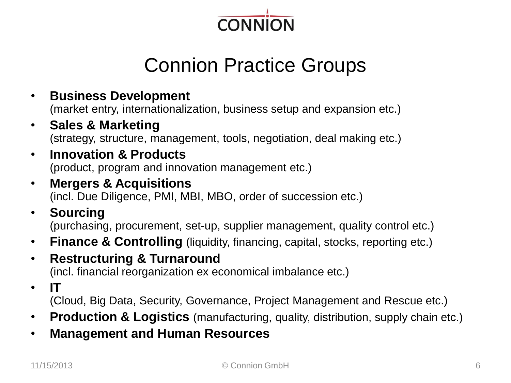

# Connion Practice Groups

- **Business Development** (market entry, internationalization, business setup and expansion etc.)
- **Sales & Marketing** (strategy, structure, management, tools, negotiation, deal making etc.)
- **Innovation & Products**  (product, program and innovation management etc.)
- **Mergers & Acquisitions** (incl. Due Diligence, PMI, MBI, MBO, order of succession etc.)
- **Sourcing** (purchasing, procurement, set-up, supplier management, quality control etc.)
- **Finance & Controlling** (liquidity, financing, capital, stocks, reporting etc.)
- **Restructuring & Turnaround** (incl. financial reorganization ex economical imbalance etc.)
- **IT**

(Cloud, Big Data, Security, Governance, Project Management and Rescue etc.)

- **Production & Logistics** (manufacturing, quality, distribution, supply chain etc.)
- **Management and Human Resources**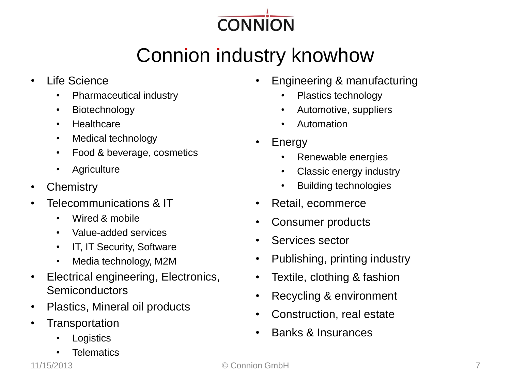

# Connion industry knowhow

- Life Science
	- Pharmaceutical industry
	- Biotechnology
	- Healthcare
	- Medical technology
	- Food & beverage, cosmetics
	- Agriculture
- Chemistry
- Telecommunications & IT
	- Wired & mobile
	- Value-added services
	- IT, IT Security, Software
	- Media technology, M2M
- Electrical engineering, Electronics, Semiconductors
- Plastics, Mineral oil products
- Transportation
	- **Logistics**
	- **Telematics**
- Engineering & manufacturing
	- Plastics technology
	- Automotive, suppliers
	- Automation
- Energy
	- Renewable energies
	- Classic energy industry
	- Building technologies
- Retail, ecommerce
- Consumer products
- Services sector
- Publishing, printing industry
- Textile, clothing & fashion
- Recycling & environment
- Construction, real estate
- Banks & Insurances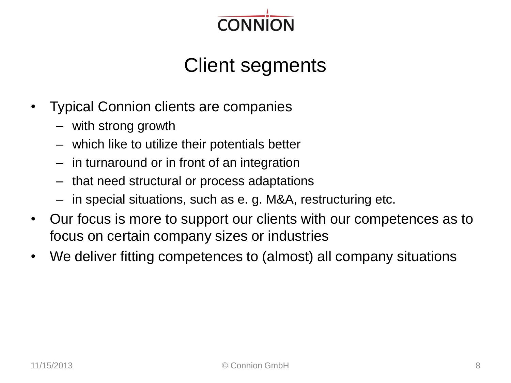

### Client segments

- Typical Connion clients are companies
	- with strong growth
	- which like to utilize their potentials better
	- in turnaround or in front of an integration
	- that need structural or process adaptations
	- in special situations, such as e. g. M&A, restructuring etc.
- Our focus is more to support our clients with our competences as to focus on certain company sizes or industries
- We deliver fitting competences to (almost) all company situations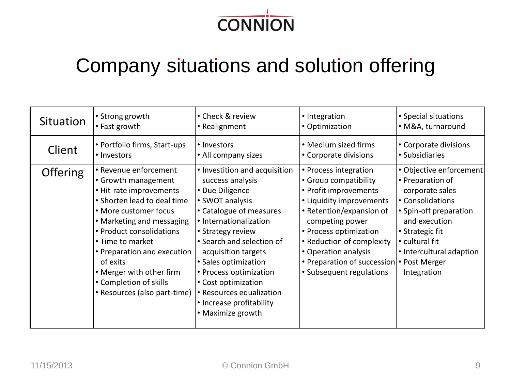

#### Company situations and solution offering

| Situation       | • Strong growth                                                                                                                                                                                                                                                                                                                               | • Check & review                                                                                                                                                                                                                                                                                                                                                            | • Integration                                                                                                                                                                                                                                                                                              | • Special situations                                                                                                                                                                                          |
|-----------------|-----------------------------------------------------------------------------------------------------------------------------------------------------------------------------------------------------------------------------------------------------------------------------------------------------------------------------------------------|-----------------------------------------------------------------------------------------------------------------------------------------------------------------------------------------------------------------------------------------------------------------------------------------------------------------------------------------------------------------------------|------------------------------------------------------------------------------------------------------------------------------------------------------------------------------------------------------------------------------------------------------------------------------------------------------------|---------------------------------------------------------------------------------------------------------------------------------------------------------------------------------------------------------------|
|                 | • Fast growth                                                                                                                                                                                                                                                                                                                                 | • Realignment                                                                                                                                                                                                                                                                                                                                                               | • Optimization                                                                                                                                                                                                                                                                                             | • M&A, turnaround                                                                                                                                                                                             |
| Client          | • Portfolio firms, Start-ups                                                                                                                                                                                                                                                                                                                  | • Investors                                                                                                                                                                                                                                                                                                                                                                 | • Medium sized firms                                                                                                                                                                                                                                                                                       | • Corporate divisions                                                                                                                                                                                         |
|                 | • Investors                                                                                                                                                                                                                                                                                                                                   | • All company sizes                                                                                                                                                                                                                                                                                                                                                         | • Corporate divisions                                                                                                                                                                                                                                                                                      | • Subsidiaries                                                                                                                                                                                                |
| <b>Offering</b> | • Revenue enforcement<br>• Growth management<br>• Hit-rate improvements<br>• Shorten lead to deal time<br>• More customer focus<br>• Marketing and messaging<br>• Product consolidations<br>• Time to market<br>• Preparation and execution<br>of exits<br>• Merger with other firm<br>• Completion of skills<br>• Resources (also part-time) | • Investition and acquisition<br>success analysis<br>• Due Diligence<br>• SWOT analysis<br>• Catalogue of measures<br>• Internationalization<br>• Strategy review<br>• Search and selection of<br>acquisition targets<br>• Sales optimization<br>• Process optimization<br>• Cost optimization<br>• Resources equalization<br>• Increase profitability<br>• Maximize growth | • Process integration<br>• Group compatibility<br>• Profit improvements<br>• Liquidity improvements<br>• Retention/expansion of<br>competing power<br>• Process optimization<br>• Reduction of complexity<br>• Operation analysis<br>• Preparation of succession • Post Merger<br>• Subsequent regulations | • Objective enforcement<br>• Preparation of<br>corporate sales<br>• Consolidations<br>• Spin-off preparation<br>and execution<br>• Strategic fit<br>• cultural fit<br>• Intercultural adaption<br>Integration |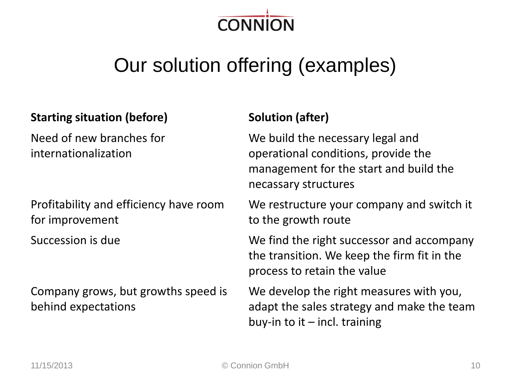

# Our solution offering (examples)

#### **Starting situation (before) Solution (after)**

Need of new branches for internationalization

Profitability and efficiency have room for improvement

Company grows, but growths speed is behind expectations

We build the necessary legal and operational conditions, provide the management for the start and build the necassary structures

We restructure your company and switch it to the growth route

Succession is due **We find the right successor and accompany** the transition. We keep the firm fit in the process to retain the value

> We develop the right measures with you, adapt the sales strategy and make the team buy-in to it  $-$  incl. training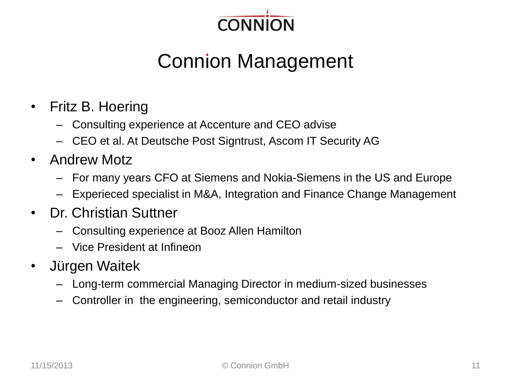

# **Connion Management**

- Fritz B. Hoering
	- Consulting experience at Accenture and CEO advise
	- CEO et al. At Deutsche Post Signtrust, Ascom IT Security AG
- Andrew Motz
	- For many years CFO at Siemens and Nokia-Siemens in the US and Europe
	- Experieced specialist in M&A, Integration and Finance Change Management
- Dr. Christian Suttner
	- Consulting experience at Booz Allen Hamilton
	- Vice President at Infineon
- Jürgen Waitek
	- Long-term commercial Managing Director in medium-sized businesses
	- Controller in the engineering, semiconductor and retail industry